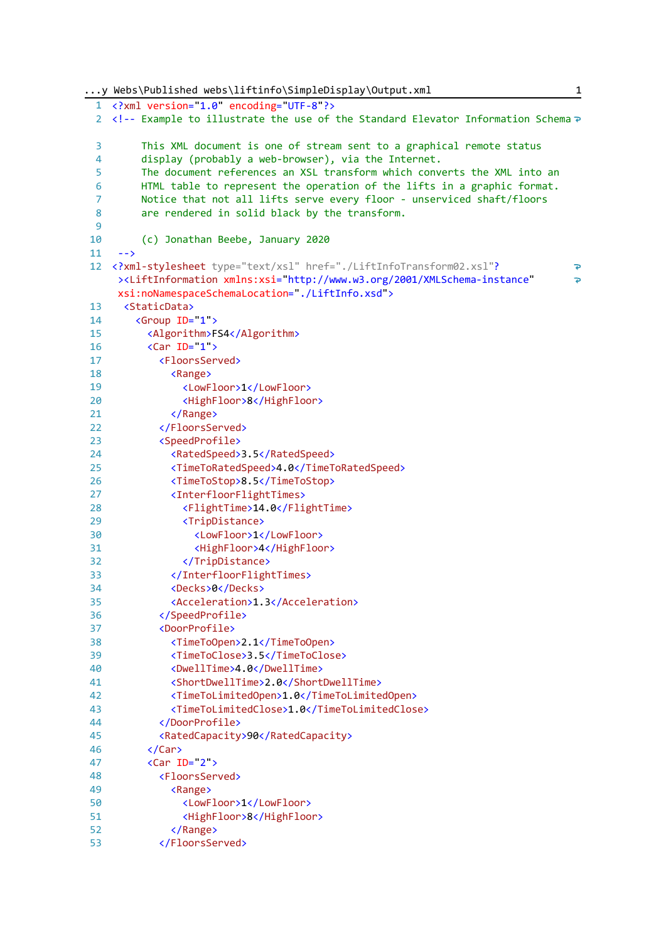```
...y Webs\Published webs\liftinfo\SimpleDisplay\Output.xml 1
  1
<?xml version="1.0" encoding="UTF-8"?>
  2
<!-- Example to illustrate the use of the Standard Elevator Information Schema
 \overline{a} This XML document is one of stream sent to a graphical remote status 
 \lambda display (probably a web-browser), via the Internet. 
 5
          The document references an XSL transform which converts the XML into an
 6
          HTML table to represent the operation of the lifts in a graphic format. 
 7
          Notice that not all lifts serve every floor - unserviced shaft/floors 
 8
          are rendered in solid black by the transform.
 9
10
          (c) Jonathan Beebe, January 2020 
      -->
11
 12
<?xml-stylesheet type="text/xsl" href="./LiftInfoTransform02.xsl"?
                                                                                      \overline{p}><LiftInformation xmlns:xsi="http://www.w3.org/2001/XMLSchema-instance" 
                                                                                      \Rightarrowxsi:noNamespaceSchemaLocation="./LiftInfo.xsd">
13
      <StaticData>
14
        <Group ID="1">
15
          <Algorithm>FS4</Algorithm>
16
          <Car ID="1">
17
            <FloorsServed>
18
               <Range>
19
                 <LowFloor>1</LowFloor>
20<HighFloor>8</HighFloor>
21
               </Range>
22
             </FloorsServed>
23<SpeedProfile>
               <RatedSpeed>3.5</RatedSpeed>
2425
               <TimeToRatedSpeed>4.0</TimeToRatedSpeed>
26
               <TimeToStop>8.5</TimeToStop>
27
               <InterfloorFlightTimes>
28
                 <FlightTime>14.0</FlightTime>
29
                 <TripDistance>
30
                   <LowFloor>1</LowFloor>
31
                   <HighFloor>4</HighFloor>
32
                 </TripDistance>
33
               </InterfloorFlightTimes>
34<Decks>0</Decks>
35
               <Acceleration>1.3</Acceleration>
36
            </SpeedProfile>
37
            <DoorProfile>
38
               <TimeToOpen>2.1</TimeToOpen>
39
               <TimeToClose>3.5</TimeToClose>
               <DwellTime>4.0</DwellTime>
40
41
               <ShortDwellTime>2.0</ShortDwellTime>
42
               <TimeToLimitedOpen>1.0</TimeToLimitedOpen>
43
               <TimeToLimitedClose>1.0</TimeToLimitedClose>
\Delta\Delta</DoorProfile>
45
             <RatedCapacity>90</RatedCapacity>
46
          </Car>
          <Car ID="2">
47
48
            <FloorsServed>
49
              <Range>
50
                 <LowFloor>1</LowFloor>
51
                 <HighFloor>8</HighFloor>
52
               </Range>
53
            </FloorsServed>
```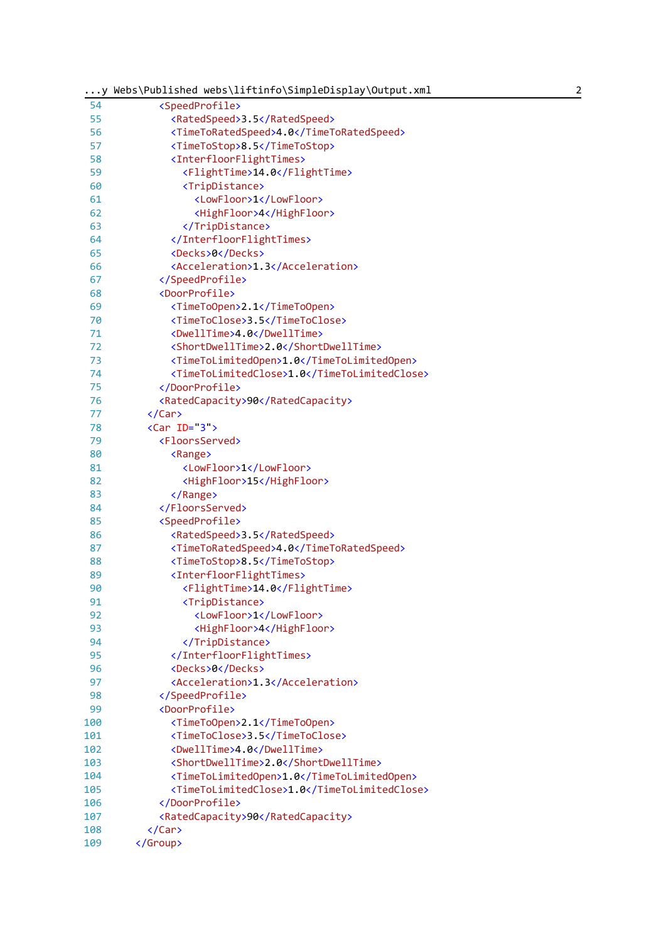| $\ldots$ y | Webs\Published webs\liftinfo\SimpleDisplay\Output.xml<br>2 |
|------------|------------------------------------------------------------|
| 54         | <speedprofile></speedprofile>                              |
| 55         | <ratedspeed>3.5</ratedspeed>                               |
| 56         | <timetoratedspeed>4.0</timetoratedspeed>                   |
| 57         | <timetostop>8.5</timetostop>                               |
| 58         | <interfloorflighttimes></interfloorflighttimes>            |
| 59         | <flighttime>14.0</flighttime>                              |
| 60         | <tripdistance></tripdistance>                              |
| 61         | <lowfloor>1</lowfloor>                                     |
| 62         | <highfloor>4</highfloor>                                   |
| 63         |                                                            |
| 64         |                                                            |
| 65         | <decks>0</decks>                                           |
| 66         | <acceleration>1.3</acceleration>                           |
| 67         |                                                            |
| 68         | <doorprofile></doorprofile>                                |
| 69         | <timetoopen>2.1</timetoopen>                               |
| 70         | <timetoclose>3.5</timetoclose>                             |
| 71         | <dwelltime>4.0</dwelltime>                                 |
| 72         | <shortdwelltime>2.0</shortdwelltime>                       |
| 73         | <timetolimitedopen>1.0</timetolimitedopen>                 |
| 74         | <timetolimitedclose>1.0</timetolimitedclose>               |
| 75         |                                                            |
| 76         |                                                            |
|            | <ratedcapacity>90</ratedcapacity>                          |
| 77         |                                                            |
| 78         | $\langle Car ID=3 \rangle$                                 |
| 79         | <floorsserved></floorsserved>                              |
| 80         | <range></range>                                            |
| 81         | <lowfloor>1</lowfloor>                                     |
| 82         | <highfloor>15</highfloor>                                  |
| 83         |                                                            |
| 84         |                                                            |
| 85         | <speedprofile></speedprofile>                              |
| 86         | <ratedspeed>3.5</ratedspeed>                               |
| 87         | <timetoratedspeed>4.0</timetoratedspeed>                   |
| 88         | <timetostop>8.5</timetostop>                               |
| 89         | <interfloorflighttimes></interfloorflighttimes>            |
| 90         | <flighttime>14.0</flighttime>                              |
| 91         | <tripdistance></tripdistance>                              |
| 92         | <lowfloor>1</lowfloor>                                     |
| 93         | <highfloor>4</highfloor>                                   |
| 94         |                                                            |
| 95         |                                                            |
| 96         | <decks>0</decks>                                           |
| 97         | <acceleration>1.3</acceleration>                           |
| 98         |                                                            |
| 99         | <doorprofile></doorprofile>                                |
| 100        | <timetoopen>2.1</timetoopen>                               |
| 101        | <timetoclose>3.5</timetoclose>                             |
| 102        | <dwelltime>4.0</dwelltime>                                 |
| 103        | <shortdwelltime>2.0</shortdwelltime>                       |
| 104        | <timetolimitedopen>1.0</timetolimitedopen>                 |
| 105        | <timetolimitedclose>1.0</timetolimitedclose>               |
| 106        |                                                            |
| 107        | <ratedcapacity>90</ratedcapacity>                          |
| 108        | $\langle$ /Car>                                            |
| 109        |                                                            |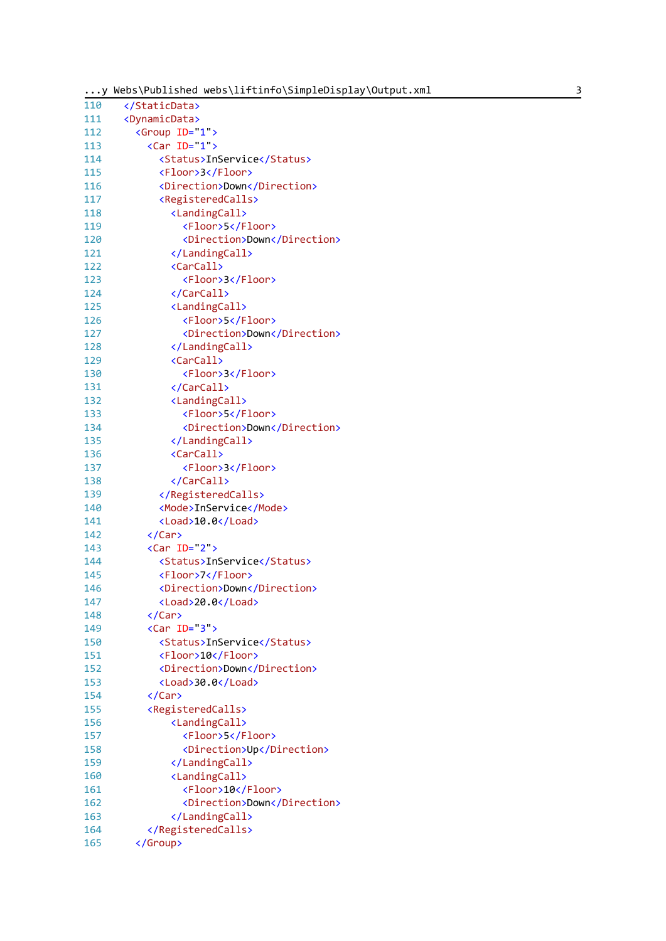|  |  | y Webs\Published webs\liftinfo\SimpleDisplay\Output.xml |  |
|--|--|---------------------------------------------------------|--|
|--|--|---------------------------------------------------------|--|

| 110 |                                     |  |
|-----|-------------------------------------|--|
| 111 | <dynamicdata></dynamicdata>         |  |
| 112 | <group id="1"></group>              |  |
| 113 | $\langle$ Car ID= 1 >               |  |
| 114 | <status>InService</status>          |  |
| 115 | <floor>3</floor>                    |  |
| 116 | <direction>Down</direction>         |  |
| 117 | <registeredcalls></registeredcalls> |  |
| 118 | <landingcall></landingcall>         |  |
| 119 | <floor>5</floor>                    |  |
| 120 | <direction>Down</direction>         |  |
| 121 |                                     |  |
| 122 | <carcall></carcall>                 |  |
| 123 | <floor>3</floor>                    |  |
| 124 |                                     |  |
|     |                                     |  |
| 125 | <landingcall></landingcall>         |  |
| 126 | <floor>5</floor>                    |  |
| 127 | <direction>Down</direction>         |  |
| 128 |                                     |  |
| 129 | <carcall></carcall>                 |  |
| 130 | <floor>3</floor>                    |  |
| 131 |                                     |  |
| 132 | <landingcall></landingcall>         |  |
| 133 | <floor>5</floor>                    |  |
| 134 | <direction>Down</direction>         |  |
| 135 |                                     |  |
| 136 | <carcall></carcall>                 |  |
| 137 | <floor>3</floor>                    |  |
| 138 |                                     |  |
| 139 |                                     |  |
| 140 | <mode>InService</mode>              |  |
| 141 | <load>10.0</load>                   |  |
| 142 | $\langle$ /Car>                     |  |
| 143 | $\langle Car ID=2 \rangle$          |  |
| 144 | <status>InService</status>          |  |
| 145 | <floor>7</floor>                    |  |
| 146 | <direction>Down</direction>         |  |
| 147 | <load>20.0</load>                   |  |
| 148 |                                     |  |
| 149 | $\langle Car ID=3" \rangle$         |  |
| 150 | <status>InService</status>          |  |
| 151 | <floor>10</floor>                   |  |
| 152 | <direction>Down</direction>         |  |
| 153 | <load>30.0</load>                   |  |
| 154 |                                     |  |
| 155 | <registeredcalls></registeredcalls> |  |
| 156 | <landingcall></landingcall>         |  |
| 157 | <floor>5</floor>                    |  |
| 158 | <direction>Up</direction>           |  |
| 159 |                                     |  |
| 160 |                                     |  |
|     | <landingcall></landingcall>         |  |
| 161 | <floor>10</floor>                   |  |
| 162 | <direction>Down</direction>         |  |
| 163 |                                     |  |
| 164 |                                     |  |
| 165 |                                     |  |